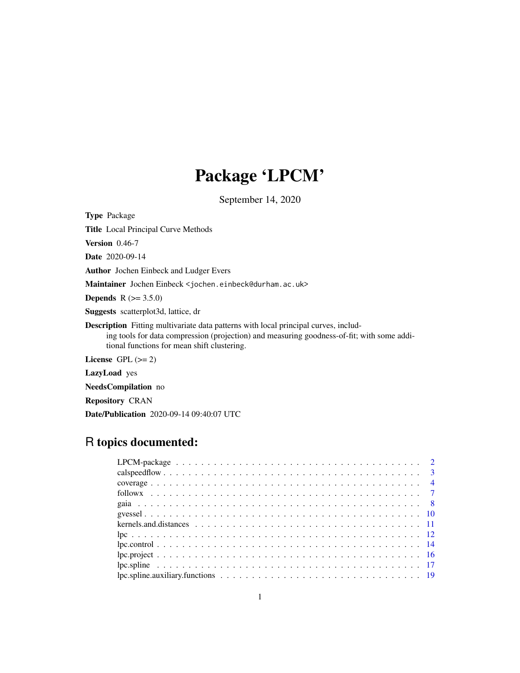# Package 'LPCM'

September 14, 2020

<span id="page-0-0"></span>Type Package

Title Local Principal Curve Methods

Version 0.46-7

Date 2020-09-14

Author Jochen Einbeck and Ludger Evers

Maintainer Jochen Einbeck <jochen.einbeck@durham.ac.uk>

**Depends** R  $(>= 3.5.0)$ 

Suggests scatterplot3d, lattice, dr

Description Fitting multivariate data patterns with local principal curves, includ-

ing tools for data compression (projection) and measuring goodness-of-fit; with some additional functions for mean shift clustering.

License GPL  $(>= 2)$ 

LazyLoad yes

NeedsCompilation no

Repository CRAN

Date/Publication 2020-09-14 09:40:07 UTC

# R topics documented: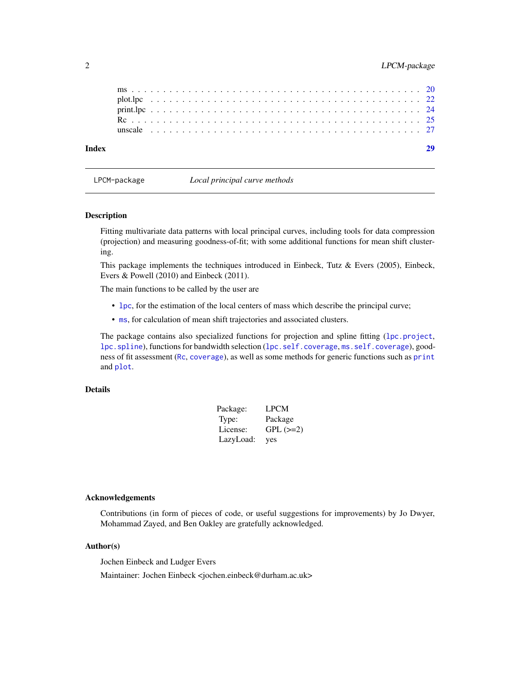<span id="page-1-0"></span>

<span id="page-1-1"></span>

LPCM-package *Local principal curve methods*

# Description

Fitting multivariate data patterns with local principal curves, including tools for data compression (projection) and measuring goodness-of-fit; with some additional functions for mean shift clustering.

This package implements the techniques introduced in Einbeck, Tutz & Evers (2005), Einbeck, Evers & Powell (2010) and Einbeck (2011).

The main functions to be called by the user are

- [lpc](#page-11-1), for the estimation of the local centers of mass which describe the principal curve;
- [ms](#page-19-1), for calculation of mean shift trajectories and associated clusters.

The package contains also specialized functions for projection and spline fitting ([lpc.project](#page-15-1), [lpc.spline](#page-16-1)), functions for bandwidth selection ([lpc.self.coverage](#page-3-1), [ms.self.coverage](#page-3-1)), goodness of fit assessment ([Rc](#page-24-1), [coverage](#page-3-2)), as well as some methods for generic functions such as [print](#page-0-0) and [plot](#page-0-0).

# Details

| Package:  | LPCM        |
|-----------|-------------|
| Type:     | Package     |
| License:  | $GPL$ (>=2) |
| LazyLoad: | yes         |

# Acknowledgements

Contributions (in form of pieces of code, or useful suggestions for improvements) by Jo Dwyer, Mohammad Zayed, and Ben Oakley are gratefully acknowledged.

# Author(s)

Jochen Einbeck and Ludger Evers Maintainer: Jochen Einbeck <jochen.einbeck@durham.ac.uk>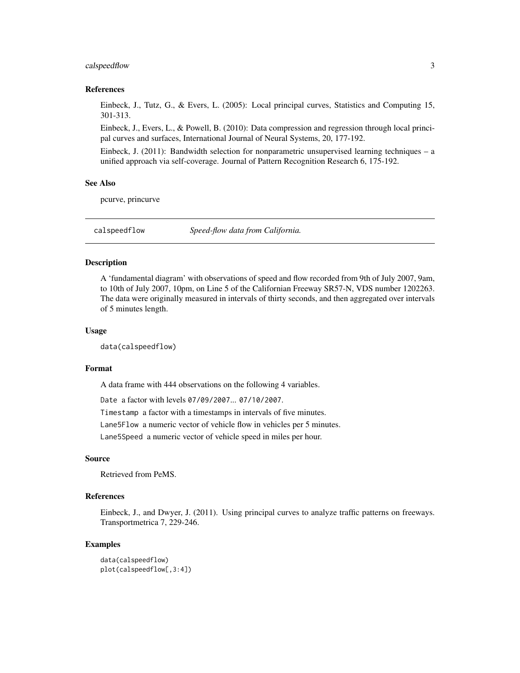# <span id="page-2-0"></span>calspeedflow 3

# References

Einbeck, J., Tutz, G., & Evers, L. (2005): Local principal curves, Statistics and Computing 15, 301-313.

Einbeck, J., Evers, L., & Powell, B. (2010): Data compression and regression through local principal curves and surfaces, International Journal of Neural Systems, 20, 177-192.

Einbeck, J. (2011): Bandwidth selection for nonparametric unsupervised learning techniques – a unified approach via self-coverage. Journal of Pattern Recognition Research 6, 175-192.

#### See Also

pcurve, princurve

calspeedflow *Speed-flow data from California.*

#### Description

A 'fundamental diagram' with observations of speed and flow recorded from 9th of July 2007, 9am, to 10th of July 2007, 10pm, on Line 5 of the Californian Freeway SR57-N, VDS number 1202263. The data were originally measured in intervals of thirty seconds, and then aggregated over intervals of 5 minutes length.

#### Usage

data(calspeedflow)

# Format

A data frame with 444 observations on the following 4 variables.

Date a factor with levels 07/09/2007... 07/10/2007.

Timestamp a factor with a timestamps in intervals of five minutes.

Lane5Flow a numeric vector of vehicle flow in vehicles per 5 minutes.

Lane5Speed a numeric vector of vehicle speed in miles per hour.

#### Source

Retrieved from PeMS.

# References

Einbeck, J., and Dwyer, J. (2011). Using principal curves to analyze traffic patterns on freeways. Transportmetrica 7, 229-246.

# Examples

```
data(calspeedflow)
plot(calspeedflow[,3:4])
```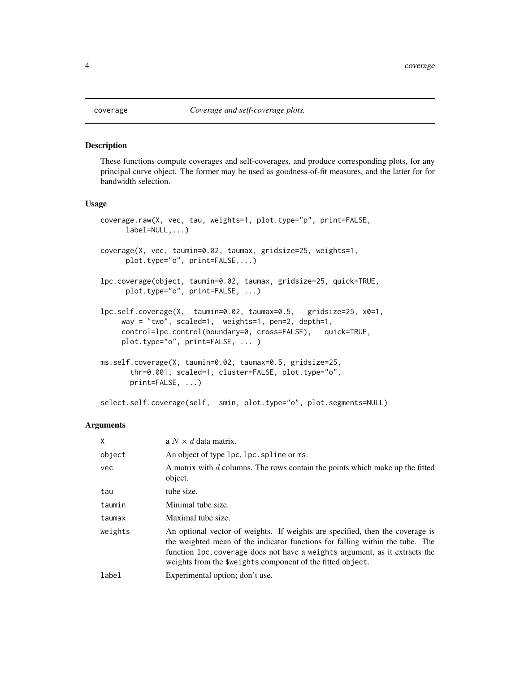#### <span id="page-3-1"></span>Description

These functions compute coverages and self-coverages, and produce corresponding plots, for any principal curve object. The former may be used as goodness-of-fit measures, and the latter for for bandwidth selection.

#### Usage

```
coverage.raw(X, vec, tau, weights=1, plot.type="p", print=FALSE,
     label=NULL,...)
coverage(X, vec, taumin=0.02, taumax, gridsize=25, weights=1,
     plot.type="o", print=FALSE,...)
lpc.coverage(object, taumin=0.02, taumax, gridsize=25, quick=TRUE,
     plot.type="o", print=FALSE, ...)
lpc.self.coverage(X, taumin=0.02, taumax=0.5, gridsize=25, x0=1,
    way = "two", scaled=1, weights=1, pen=2, depth=1,
    control=lpc.control(boundary=0, cross=FALSE), quick=TRUE,
    plot.type="o", print=FALSE, ... )
ms.self.coverage(X, taumin=0.02, taumax=0.5, gridsize=25,
       thr=0.001, scaled=1, cluster=FALSE, plot.type="o",
      print=FALSE, ...)
```
select.self.coverage(self, smin, plot.type="o", plot.segments=NULL)

#### Arguments

| X          | a $N \times d$ data matrix.                                                                                                                                                                                                                                                                                  |
|------------|--------------------------------------------------------------------------------------------------------------------------------------------------------------------------------------------------------------------------------------------------------------------------------------------------------------|
| object     | An object of type lpc, lpc. spline or ms.                                                                                                                                                                                                                                                                    |
| <b>vec</b> | A matrix with d columns. The rows contain the points which make up the fitted<br>object.                                                                                                                                                                                                                     |
| tau        | tube size.                                                                                                                                                                                                                                                                                                   |
| taumin     | Minimal tube size.                                                                                                                                                                                                                                                                                           |
| taumax     | Maximal tube size.                                                                                                                                                                                                                                                                                           |
| weights    | An optional vector of weights. If weights are specified, then the coverage is<br>the weighted mean of the indicator functions for falling within the tube. The<br>function 1 pc. coverage does not have a weights argument, as it extracts the<br>weights from the \$weights component of the fitted object. |
| label      | Experimental option; don't use.                                                                                                                                                                                                                                                                              |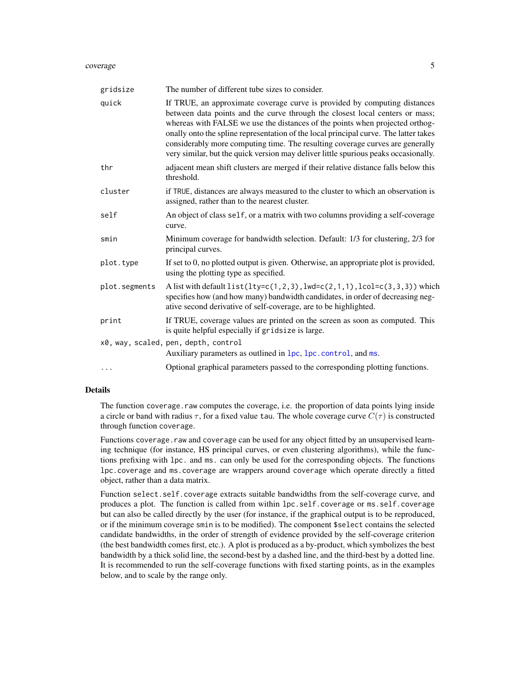#### <span id="page-4-0"></span>coverage 5 and 5 and 5 and 5 and 5 and 5 and 5 and 5 and 5 and 5 and 5 and 5 and 5 and 5 and 5 and 5 and 5 and 5 and 5 and 5 and 5 and 5 and 5 and 5 and 5 and 5 and 5 and 5 and 5 and 5 and 5 and 5 and 5 and 5 and 5 and 5 a

| gridsize      | The number of different tube sizes to consider.                                                                                                                                                                                                                                                                                                                                                                                                                                                           |
|---------------|-----------------------------------------------------------------------------------------------------------------------------------------------------------------------------------------------------------------------------------------------------------------------------------------------------------------------------------------------------------------------------------------------------------------------------------------------------------------------------------------------------------|
| quick         | If TRUE, an approximate coverage curve is provided by computing distances<br>between data points and the curve through the closest local centers or mass;<br>whereas with FALSE we use the distances of the points when projected orthog-<br>onally onto the spline representation of the local principal curve. The latter takes<br>considerably more computing time. The resulting coverage curves are generally<br>very similar, but the quick version may deliver little spurious peaks occasionally. |
| thr           | adjacent mean shift clusters are merged if their relative distance falls below this<br>threshold.                                                                                                                                                                                                                                                                                                                                                                                                         |
| cluster       | if TRUE, distances are always measured to the cluster to which an observation is<br>assigned, rather than to the nearest cluster.                                                                                                                                                                                                                                                                                                                                                                         |
| self          | An object of class self, or a matrix with two columns providing a self-coverage<br>curve.                                                                                                                                                                                                                                                                                                                                                                                                                 |
| smin          | Minimum coverage for bandwidth selection. Default: 1/3 for clustering, 2/3 for<br>principal curves.                                                                                                                                                                                                                                                                                                                                                                                                       |
| plot.type     | If set to 0, no plotted output is given. Otherwise, an appropriate plot is provided,<br>using the plotting type as specified.                                                                                                                                                                                                                                                                                                                                                                             |
| plot.segments | A list with default $list(lty=c(1,2,3),lwd=c(2,1,1),lcol=c(3,3,3))$ which<br>specifies how (and how many) bandwidth candidates, in order of decreasing neg-<br>ative second derivative of self-coverage, are to be highlighted.                                                                                                                                                                                                                                                                           |
| print         | If TRUE, coverage values are printed on the screen as soon as computed. This<br>is quite helpful especially if gridsize is large.                                                                                                                                                                                                                                                                                                                                                                         |
|               | x0, way, scaled, pen, depth, control<br>Auxiliary parameters as outlined in lpc, lpc. control, and ms.                                                                                                                                                                                                                                                                                                                                                                                                    |
| $\cdots$      | Optional graphical parameters passed to the corresponding plotting functions.                                                                                                                                                                                                                                                                                                                                                                                                                             |

# Details

The function coverage.raw computes the coverage, i.e. the proportion of data points lying inside a circle or band with radius  $\tau$ , for a fixed value tau. The whole coverage curve  $C(\tau)$  is constructed through function coverage.

Functions coverage. raw and coverage can be used for any object fitted by an unsupervised learning technique (for instance, HS principal curves, or even clustering algorithms), while the functions prefixing with lpc. and ms. can only be used for the corresponding objects. The functions lpc.coverage and ms.coverage are wrappers around coverage which operate directly a fitted object, rather than a data matrix.

Function select.self.coverage extracts suitable bandwidths from the self-coverage curve, and produces a plot. The function is called from within lpc.self.coverage or ms.self.coverage but can also be called directly by the user (for instance, if the graphical output is to be reproduced, or if the minimum coverage smin is to be modified). The component \$select contains the selected candidate bandwidths, in the order of strength of evidence provided by the self-coverage criterion (the best bandwidth comes first, etc.). A plot is produced as a by-product, which symbolizes the best bandwidth by a thick solid line, the second-best by a dashed line, and the third-best by a dotted line. It is recommended to run the self-coverage functions with fixed starting points, as in the examples below, and to scale by the range only.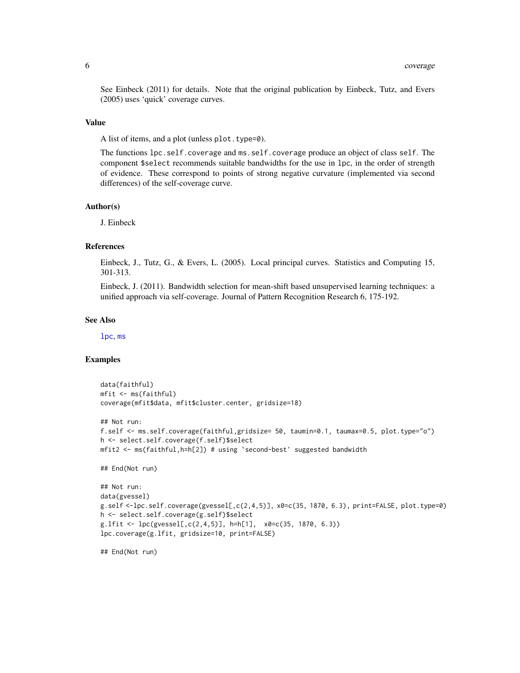<span id="page-5-0"></span>See Einbeck (2011) for details. Note that the original publication by Einbeck, Tutz, and Evers (2005) uses 'quick' coverage curves.

#### Value

A list of items, and a plot (unless plot.type=0).

The functions lpc.self.coverage and ms.self.coverage produce an object of class self. The component \$select recommends suitable bandwidths for the use in lpc, in the order of strength of evidence. These correspond to points of strong negative curvature (implemented via second differences) of the self-coverage curve.

#### Author(s)

J. Einbeck

# References

Einbeck, J., Tutz, G., & Evers, L. (2005). Local principal curves. Statistics and Computing 15, 301-313.

Einbeck, J. (2011). Bandwidth selection for mean-shift based unsupervised learning techniques: a unified approach via self-coverage. Journal of Pattern Recognition Research 6, 175-192.

#### See Also

[lpc](#page-11-1), [ms](#page-19-1)

# Examples

```
data(faithful)
mfit <- ms(faithful)
coverage(mfit$data, mfit$cluster.center, gridsize=18)
```

```
## Not run:
f.self <- ms.self.coverage(faithful,gridsize= 50, taumin=0.1, taumax=0.5, plot.type="o")
h <- select.self.coverage(f.self)$select
mfit2 <- ms(faithful,h=h[2]) # using `second-best' suggested bandwidth
```

```
## End(Not run)
```

```
## Not run:
data(gvessel)
g.self <-lpc.self.coverage(gvessel[,c(2,4,5)], x0=c(35, 1870, 6.3), print=FALSE, plot.type=0)
h <- select.self.coverage(g.self)$select
g.lfit \leftarrow lpc(gvessel[, c(2,4,5)], h=h[1], x0=c(35, 1870, 6.3))lpc.coverage(g.lfit, gridsize=10, print=FALSE)
```
## End(Not run)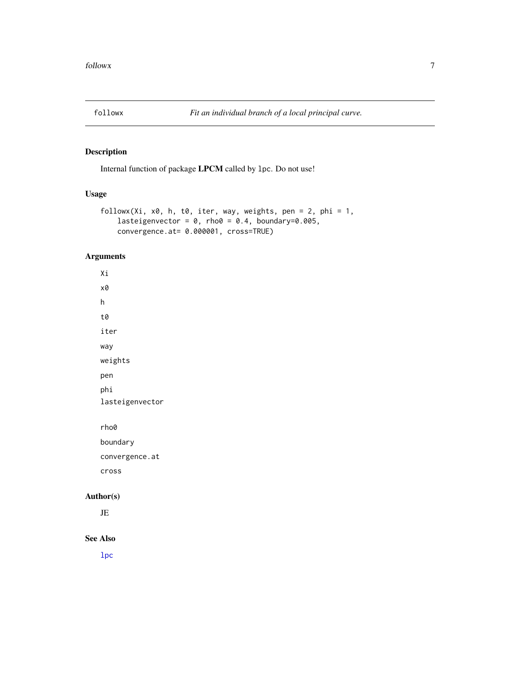<span id="page-6-0"></span>

# Description

Internal function of package LPCM called by lpc. Do not use!

# Usage

```
followx(Xi, x0, h, t0, iter, way, weights, pen = 2, phi = 1,lasteigenvector = 0, rho0 = 0.4, boundary=0.005,
    convergence.at= 0.000001, cross=TRUE)
```
# Arguments

Xi x0 h t0 iter way weights pen phi lasteigenvector rho0 boundary convergence.at cross Author(s)

JE

# See Also

[lpc](#page-11-1)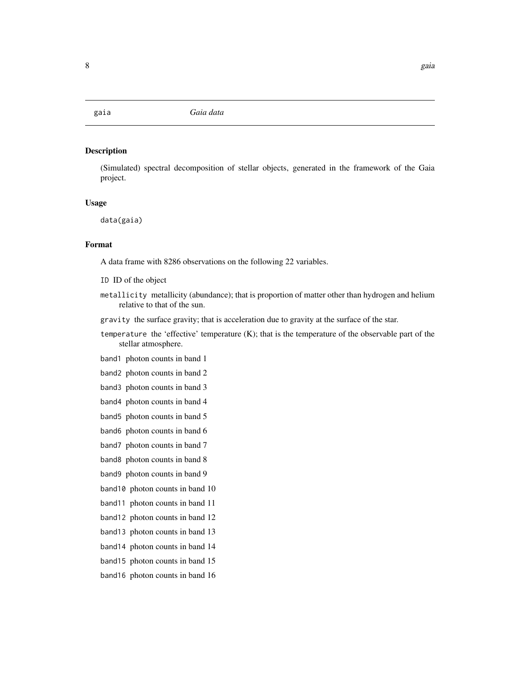<span id="page-7-0"></span>

# Description

(Simulated) spectral decomposition of stellar objects, generated in the framework of the Gaia project.

#### Usage

data(gaia)

# Format

A data frame with 8286 observations on the following 22 variables.

ID ID of the object

- metallicity metallicity (abundance); that is proportion of matter other than hydrogen and helium relative to that of the sun.
- gravity the surface gravity; that is acceleration due to gravity at the surface of the star.
- temperature the 'effective' temperature (K); that is the temperature of the observable part of the stellar atmosphere.
- band1 photon counts in band 1
- band2 photon counts in band 2
- band3 photon counts in band 3
- band4 photon counts in band 4
- band5 photon counts in band 5
- band6 photon counts in band 6
- band7 photon counts in band 7
- band8 photon counts in band 8
- band9 photon counts in band 9
- band10 photon counts in band 10
- band11 photon counts in band 11
- band12 photon counts in band 12
- band13 photon counts in band 13
- band14 photon counts in band 14
- band15 photon counts in band 15
- band16 photon counts in band 16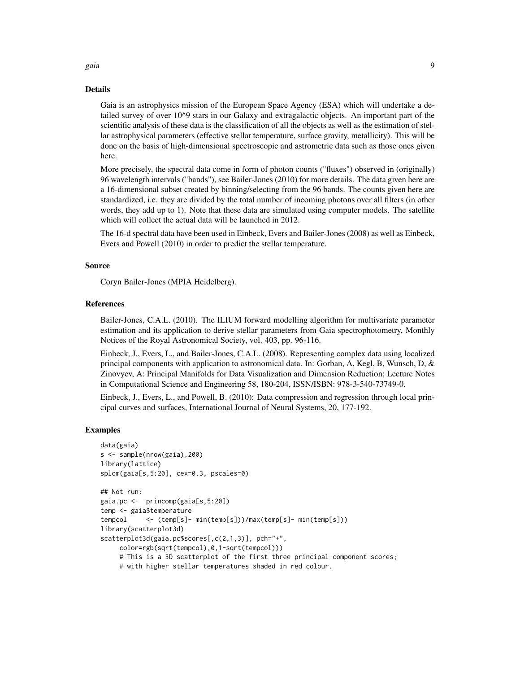#### Details

Gaia is an astrophysics mission of the European Space Agency (ESA) which will undertake a detailed survey of over 10^9 stars in our Galaxy and extragalactic objects. An important part of the scientific analysis of these data is the classification of all the objects as well as the estimation of stellar astrophysical parameters (effective stellar temperature, surface gravity, metallicity). This will be done on the basis of high-dimensional spectroscopic and astrometric data such as those ones given here.

More precisely, the spectral data come in form of photon counts ("fluxes") observed in (originally) 96 wavelength intervals ("bands"), see Bailer-Jones (2010) for more details. The data given here are a 16-dimensional subset created by binning/selecting from the 96 bands. The counts given here are standardized, i.e. they are divided by the total number of incoming photons over all filters (in other words, they add up to 1). Note that these data are simulated using computer models. The satellite which will collect the actual data will be launched in 2012.

The 16-d spectral data have been used in Einbeck, Evers and Bailer-Jones (2008) as well as Einbeck, Evers and Powell (2010) in order to predict the stellar temperature.

#### Source

Coryn Bailer-Jones (MPIA Heidelberg).

# References

Bailer-Jones, C.A.L. (2010). The ILIUM forward modelling algorithm for multivariate parameter estimation and its application to derive stellar parameters from Gaia spectrophotometry, Monthly Notices of the Royal Astronomical Society, vol. 403, pp. 96-116.

Einbeck, J., Evers, L., and Bailer-Jones, C.A.L. (2008). Representing complex data using localized principal components with application to astronomical data. In: Gorban, A, Kegl, B, Wunsch, D,  $\&$ Zinovyev, A: Principal Manifolds for Data Visualization and Dimension Reduction; Lecture Notes in Computational Science and Engineering 58, 180-204, ISSN/ISBN: 978-3-540-73749-0.

Einbeck, J., Evers, L., and Powell, B. (2010): Data compression and regression through local principal curves and surfaces, International Journal of Neural Systems, 20, 177-192.

#### Examples

```
data(gaia)
s <- sample(nrow(gaia),200)
library(lattice)
splom(gaia[s,5:20], cex=0.3, pscales=0)
## Not run:
gaia.pc <- princomp(gaia[s,5:20])
temp <- gaia$temperature
tempcol <- (temp[s]- min(temp[s]))/max(temp[s]- min(temp[s]))
library(scatterplot3d)
scatterplot3d(gaia.pc$scores[,c(2,1,3)], pch="+",
     color=rgb(sqrt(tempcol),0,1-sqrt(tempcol)))
     # This is a 3D scatterplot of the first three principal component scores;
     # with higher stellar temperatures shaded in red colour.
```
gaia dia 49.913° ary 1.1131° amin'ny soratra desimaly. Ny faritr'i Normaliesa dia 4.0189.<br>Ny faritr'ora dia GMT+1.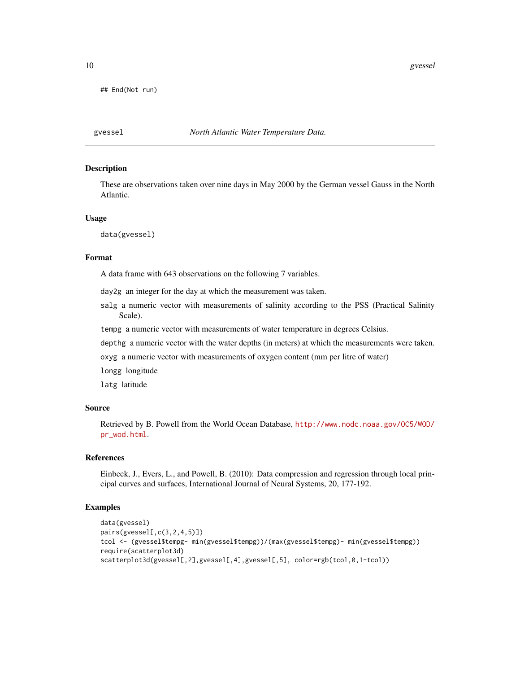```
## End(Not run)
```
gvessel *North Atlantic Water Temperature Data.*

# **Description**

These are observations taken over nine days in May 2000 by the German vessel Gauss in the North Atlantic.

# Usage

data(gvessel)

#### Format

A data frame with 643 observations on the following 7 variables.

day2g an integer for the day at which the measurement was taken.

salg a numeric vector with measurements of salinity according to the PSS (Practical Salinity Scale).

tempg a numeric vector with measurements of water temperature in degrees Celsius.

depthg a numeric vector with the water depths (in meters) at which the measurements were taken.

oxyg a numeric vector with measurements of oxygen content (mm per litre of water)

longg longitude

latg latitude

# Source

Retrieved by B. Powell from the World Ocean Database, [http://www.nodc.noaa.gov/OC5/WOD/](http://www.nodc.noaa.gov/OC5/WOD/pr_wod.html) [pr\\_wod.html](http://www.nodc.noaa.gov/OC5/WOD/pr_wod.html).

#### References

Einbeck, J., Evers, L., and Powell, B. (2010): Data compression and regression through local principal curves and surfaces, International Journal of Neural Systems, 20, 177-192.

# Examples

```
data(gvessel)
pairs(gvessel[,c(3,2,4,5)])
tcol <- (gvessel$tempg- min(gvessel$tempg))/(max(gvessel$tempg)- min(gvessel$tempg))
require(scatterplot3d)
scatterplot3d(gvessel[,2],gvessel[,4],gvessel[,5], color=rgb(tcol,0,1-tcol))
```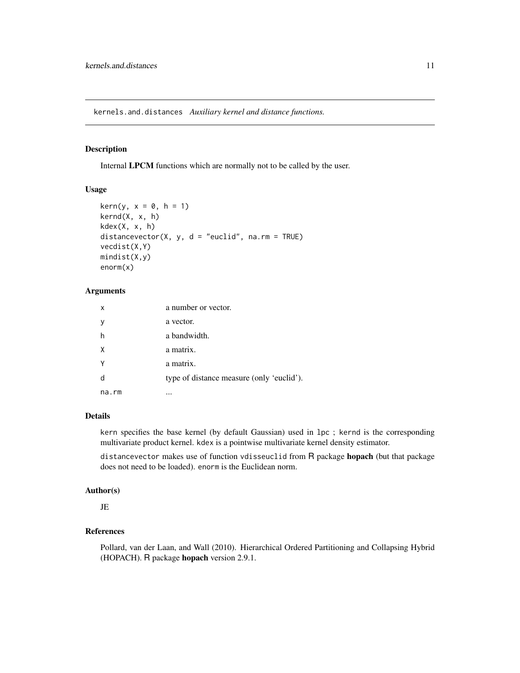<span id="page-10-0"></span>kernels.and.distances *Auxiliary kernel and distance functions.*

# Description

Internal LPCM functions which are normally not to be called by the user.

# Usage

```
\text{kern}(y, x = 0, h = 1)kernd(X, x, h)
kdex(X, x, h)
distancevector(X, y, d = "euclid", na.rm = TRUE)
vecdist(X,Y)
mindist(X,y)
enorm(x)
```
# Arguments

| x     | a number or vector.                       |
|-------|-------------------------------------------|
| ν     | a vector.                                 |
| h     | a bandwidth.                              |
| X     | a matrix.                                 |
|       | a matrix.                                 |
| d     | type of distance measure (only 'euclid'). |
| na.rm |                                           |

# Details

kern specifies the base kernel (by default Gaussian) used in lpc ; kernd is the corresponding multivariate product kernel. kdex is a pointwise multivariate kernel density estimator.

distancevector makes use of function vdisseuclid from R package hopach (but that package does not need to be loaded). enorm is the Euclidean norm.

# Author(s)

JE

# References

Pollard, van der Laan, and Wall (2010). Hierarchical Ordered Partitioning and Collapsing Hybrid (HOPACH). R package hopach version 2.9.1.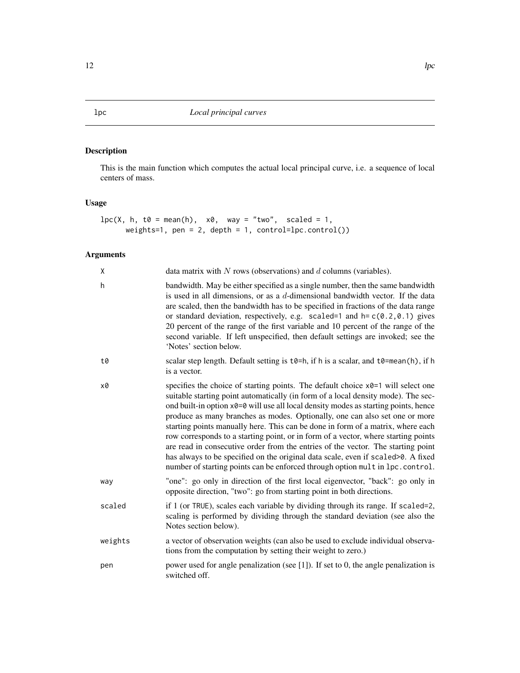# <span id="page-11-1"></span><span id="page-11-0"></span>Description

This is the main function which computes the actual local principal curve, i.e. a sequence of local centers of mass.

# Usage

```
lpc(X, h, t0 = mean(h), x0, way = "two", scaled = 1,weights=1, pen = 2, depth = 1, control=lpc.control())
```
# Arguments

| Χ       | data matrix with $N$ rows (observations) and $d$ columns (variables).                                                                                                                                                                                                                                                                                                                                                                                                                                                                                                                                                                                                                                                                                                          |
|---------|--------------------------------------------------------------------------------------------------------------------------------------------------------------------------------------------------------------------------------------------------------------------------------------------------------------------------------------------------------------------------------------------------------------------------------------------------------------------------------------------------------------------------------------------------------------------------------------------------------------------------------------------------------------------------------------------------------------------------------------------------------------------------------|
| h       | bandwidth. May be either specified as a single number, then the same bandwidth<br>is used in all dimensions, or as a $d$ -dimensional bandwidth vector. If the data<br>are scaled, then the bandwidth has to be specified in fractions of the data range<br>or standard deviation, respectively, e.g. scaled=1 and $h = c(0.2, 0.1)$ gives<br>20 percent of the range of the first variable and 10 percent of the range of the<br>second variable. If left unspecified, then default settings are invoked; see the<br>'Notes' section below.                                                                                                                                                                                                                                   |
| t0      | scalar step length. Default setting is $t\theta = h$ , if h is a scalar, and $t\theta = \text{mean}(h)$ , if h<br>is a vector.                                                                                                                                                                                                                                                                                                                                                                                                                                                                                                                                                                                                                                                 |
| x0      | specifies the choice of starting points. The default choice x0=1 will select one<br>suitable starting point automatically (in form of a local density mode). The sec-<br>ond built-in option x0=0 will use all local density modes as starting points, hence<br>produce as many branches as modes. Optionally, one can also set one or more<br>starting points manually here. This can be done in form of a matrix, where each<br>row corresponds to a starting point, or in form of a vector, where starting points<br>are read in consecutive order from the entries of the vector. The starting point<br>has always to be specified on the original data scale, even if scaled >0. A fixed<br>number of starting points can be enforced through option mult in lpc.control. |
| way     | "one": go only in direction of the first local eigenvector, "back": go only in<br>opposite direction, "two": go from starting point in both directions.                                                                                                                                                                                                                                                                                                                                                                                                                                                                                                                                                                                                                        |
| scaled  | if 1 (or TRUE), scales each variable by dividing through its range. If scaled=2,<br>scaling is performed by dividing through the standard deviation (see also the<br>Notes section below).                                                                                                                                                                                                                                                                                                                                                                                                                                                                                                                                                                                     |
| weights | a vector of observation weights (can also be used to exclude individual observa-<br>tions from the computation by setting their weight to zero.)                                                                                                                                                                                                                                                                                                                                                                                                                                                                                                                                                                                                                               |
| pen     | power used for angle penalization (see $[1]$ ). If set to 0, the angle penalization is<br>switched off.                                                                                                                                                                                                                                                                                                                                                                                                                                                                                                                                                                                                                                                                        |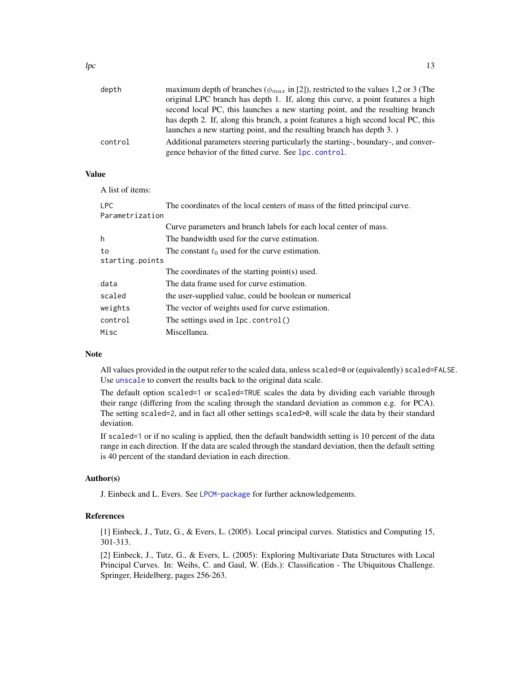<span id="page-12-0"></span>

| depth   | maximum depth of branches ( $\phi_{max}$ in [2]), restricted to the values 1,2 or 3 (The |
|---------|------------------------------------------------------------------------------------------|
|         | original LPC branch has depth 1. If, along this curve, a point features a high           |
|         | second local PC, this launches a new starting point, and the resulting branch            |
|         | has depth 2. If, along this branch, a point features a high second local PC, this        |
|         | launches a new starting point, and the resulting branch has depth 3.)                    |
| control | Additional parameters steering particularly the starting-, boundary-, and conver-        |
|         | gence behavior of the fitted curve. See lpc.control.                                     |

# Value

A list of items:

| <b>LPC</b>      | The coordinates of the local centers of mass of the fitted principal curve. |  |  |  |  |  |  |
|-----------------|-----------------------------------------------------------------------------|--|--|--|--|--|--|
| Parametrization |                                                                             |  |  |  |  |  |  |
|                 | Curve parameters and branch labels for each local center of mass.           |  |  |  |  |  |  |
| h               | The bandwidth used for the curve estimation.                                |  |  |  |  |  |  |
| to              | The constant $t_0$ used for the curve estimation.                           |  |  |  |  |  |  |
| starting.points |                                                                             |  |  |  |  |  |  |
|                 | The coordinates of the starting point(s) used.                              |  |  |  |  |  |  |
| data            | The data frame used for curve estimation.                                   |  |  |  |  |  |  |
| scaled          | the user-supplied value, could be boolean or numerical                      |  |  |  |  |  |  |
| weights         | The vector of weights used for curve estimation.                            |  |  |  |  |  |  |
| control         | The settings used in $lpc$ control()                                        |  |  |  |  |  |  |
| Misc            | Miscellanea.                                                                |  |  |  |  |  |  |
|                 |                                                                             |  |  |  |  |  |  |

# Note

All values provided in the output refer to the scaled data, unless scaled=0 or (equivalently) scaled=FALSE. Use [unscale](#page-26-1) to convert the results back to the original data scale.

The default option scaled=1 or scaled=TRUE scales the data by dividing each variable through their range (differing from the scaling through the standard deviation as common e.g. for PCA). The setting scaled=2, and in fact all other settings scaled>0, will scale the data by their standard deviation.

If scaled=1 or if no scaling is applied, then the default bandwidth setting is 10 percent of the data range in each direction. If the data are scaled through the standard deviation, then the default setting is 40 percent of the standard deviation in each direction.

# Author(s)

J. Einbeck and L. Evers. See [LPCM-package](#page-1-1) for further acknowledgements.

# References

[1] Einbeck, J., Tutz, G., & Evers, L. (2005). Local principal curves. Statistics and Computing 15, 301-313.

[2] Einbeck, J., Tutz, G., & Evers, L. (2005): Exploring Multivariate Data Structures with Local Principal Curves. In: Weihs, C. and Gaul, W. (Eds.): Classification - The Ubiquitous Challenge. Springer, Heidelberg, pages 256-263.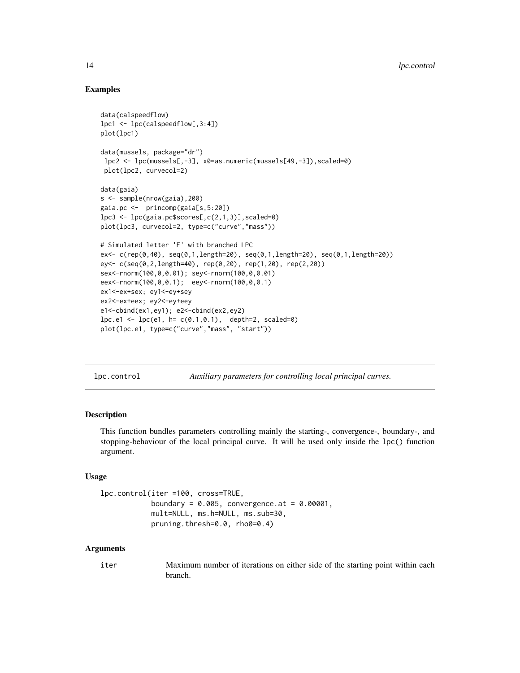# Examples

```
data(calspeedflow)
lpc1 <- lpc(calspeedflow[,3:4])
plot(lpc1)
data(mussels, package="dr")
lpc2 <- lpc(mussels[,-3], x0=as.numeric(mussels[49,-3]),scaled=0)
plot(lpc2, curvecol=2)
data(gaia)
s <- sample(nrow(gaia),200)
gaia.pc <- princomp(gaia[s,5:20])
lpc3 \leftarrow lpc(gaia.pc$scores[, c(2,1,3)], scaled=0)plot(lpc3, curvecol=2, type=c("curve","mass"))
# Simulated letter 'E' with branched LPC
ex<- c(rep(0,40), seq(0,1,length=20), seq(0,1,length=20), seq(0,1,length=20))
ey<- c(seq(0,2,length=40), rep(0,20), rep(1,20), rep(2,20))
sex<-rnorm(100,0,0.01); sey<-rnorm(100,0,0.01)
eex<-rnorm(100,0,0.1); eey<-rnorm(100,0,0.1)
ex1<-ex+sex; ey1<-ey+sey
ex2<-ex+eex; ey2<-ey+eey
e1<-cbind(ex1,ey1); e2<-cbind(ex2,ey2)
lpc.e1 \leq lpc(e1, h= c(0.1, 0.1), depth=2, scaled=0)plot(lpc.e1, type=c("curve","mass", "start"))
```
lpc.control *Auxiliary parameters for controlling local principal curves.*

# **Description**

This function bundles parameters controlling mainly the starting-, convergence-, boundary-, and stopping-behaviour of the local principal curve. It will be used only inside the lpc() function argument.

# Usage

```
lpc.control(iter =100, cross=TRUE,
            boundary = 0.005, convergence.at = 0.00001,
            mult=NULL, ms.h=NULL, ms.sub=30,
            pruning.thresh=0.0, rho0=0.4)
```
# Arguments

iter Maximum number of iterations on either side of the starting point within each branch.

<span id="page-13-0"></span>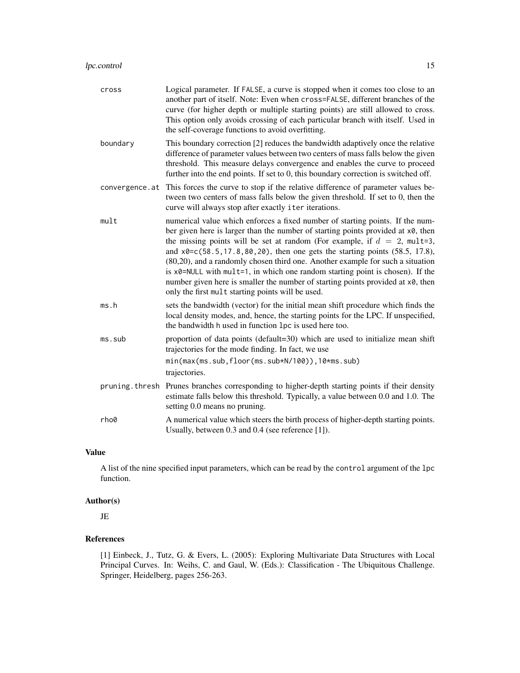| cross          | Logical parameter. If FALSE, a curve is stopped when it comes too close to an<br>another part of itself. Note: Even when cross=FALSE, different branches of the<br>curve (for higher depth or multiple starting points) are still allowed to cross.<br>This option only avoids crossing of each particular branch with itself. Used in<br>the self-coverage functions to avoid overfitting.                                                                                                                                                                                                                                                                  |
|----------------|--------------------------------------------------------------------------------------------------------------------------------------------------------------------------------------------------------------------------------------------------------------------------------------------------------------------------------------------------------------------------------------------------------------------------------------------------------------------------------------------------------------------------------------------------------------------------------------------------------------------------------------------------------------|
| boundary       | This boundary correction [2] reduces the bandwidth adaptively once the relative<br>difference of parameter values between two centers of mass falls below the given<br>threshold. This measure delays convergence and enables the curve to proceed<br>further into the end points. If set to 0, this boundary correction is switched off.                                                                                                                                                                                                                                                                                                                    |
| convergence.at | This forces the curve to stop if the relative difference of parameter values be-<br>tween two centers of mass falls below the given threshold. If set to 0, then the<br>curve will always stop after exactly iter iterations.                                                                                                                                                                                                                                                                                                                                                                                                                                |
| mult           | numerical value which enforces a fixed number of starting points. If the num-<br>ber given here is larger than the number of starting points provided at $x\theta$ , then<br>the missing points will be set at random (For example, if $d = 2$ , mult=3,<br>and $x0 = c(58.5, 17.8, 80, 20)$ , then one gets the starting points (58.5, 17.8),<br>(80,20), and a randomly chosen third one. Another example for such a situation<br>is $x0$ =NULL with mult=1, in which one random starting point is chosen). If the<br>number given here is smaller the number of starting points provided at x0, then<br>only the first mult starting points will be used. |
| ms.h           | sets the bandwidth (vector) for the initial mean shift procedure which finds the<br>local density modes, and, hence, the starting points for the LPC. If unspecified,<br>the bandwidth h used in function 1pc is used here too.                                                                                                                                                                                                                                                                                                                                                                                                                              |
| ms.sub         | proportion of data points (default=30) which are used to initialize mean shift<br>trajectories for the mode finding. In fact, we use<br>min(max(ms.sub,floor(ms.sub*N/100)),10*ms.sub)<br>trajectories.                                                                                                                                                                                                                                                                                                                                                                                                                                                      |
| pruning.thresh | Prunes branches corresponding to higher-depth starting points if their density<br>estimate falls below this threshold. Typically, a value between 0.0 and 1.0. The<br>setting 0.0 means no pruning.                                                                                                                                                                                                                                                                                                                                                                                                                                                          |
| rho0           | A numerical value which steers the birth process of higher-depth starting points.<br>Usually, between 0.3 and 0.4 (see reference [1]).                                                                                                                                                                                                                                                                                                                                                                                                                                                                                                                       |

# Value

A list of the nine specified input parameters, which can be read by the control argument of the lpc function.

# Author(s)

JE

# References

[1] Einbeck, J., Tutz, G. & Evers, L. (2005): Exploring Multivariate Data Structures with Local Principal Curves. In: Weihs, C. and Gaul, W. (Eds.): Classification - The Ubiquitous Challenge. Springer, Heidelberg, pages 256-263.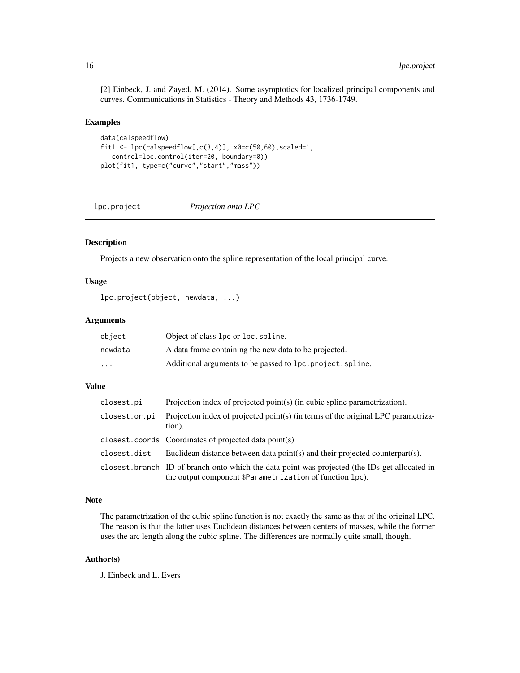<span id="page-15-0"></span>[2] Einbeck, J. and Zayed, M. (2014). Some asymptotics for localized principal components and curves. Communications in Statistics - Theory and Methods 43, 1736-1749.

# Examples

```
data(calspeedflow)
fit1 <- lpc(calspeedflow[,c(3,4)], x0=c(50,60), scaled=1,
   control=lpc.control(iter=20, boundary=0))
plot(fit1, type=c("curve","start","mass"))
```
<span id="page-15-1"></span>lpc.project *Projection onto LPC*

# Description

Projects a new observation onto the spline representation of the local principal curve.

# Usage

lpc.project(object, newdata, ...)

# Arguments

| object                  | Object of class 1pc or 1pc. spline.                      |
|-------------------------|----------------------------------------------------------|
| newdata                 | A data frame containing the new data to be projected.    |
| $\cdot$ $\cdot$ $\cdot$ | Additional arguments to be passed to lpc.project.spline. |

# Value

| closest.pi    | Projection index of projected point(s) (in cubic spline parametrization).                                                                                  |
|---------------|------------------------------------------------------------------------------------------------------------------------------------------------------------|
| closest.or.pi | Projection index of projected point(s) (in terms of the original LPC parametriza-<br>tion).                                                                |
|               | closest.coords Coordinates of projected data point(s)                                                                                                      |
| closest.dist  | Euclidean distance between data point(s) and their projected counterpart(s).                                                                               |
|               | closest. branch ID of branch onto which the data point was projected (the IDs get allocated in<br>the output component \$Parametrization of function 1pc). |

# Note

The parametrization of the cubic spline function is not exactly the same as that of the original LPC. The reason is that the latter uses Euclidean distances between centers of masses, while the former uses the arc length along the cubic spline. The differences are normally quite small, though.

# Author(s)

J. Einbeck and L. Evers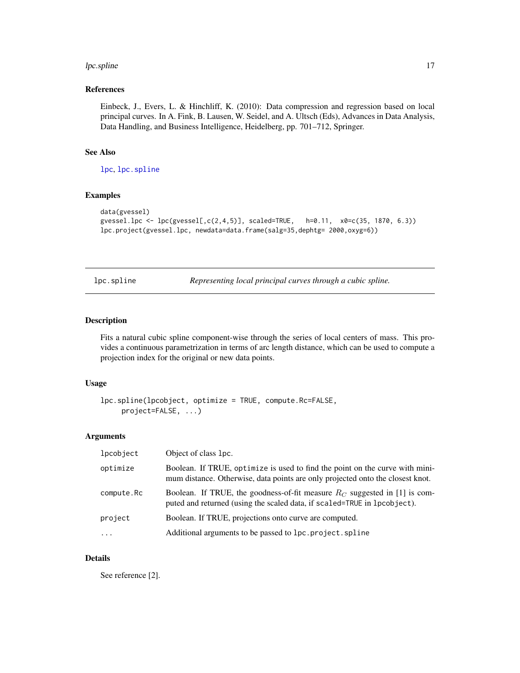#### <span id="page-16-0"></span>lpc.spline 17

# References

Einbeck, J., Evers, L. & Hinchliff, K. (2010): Data compression and regression based on local principal curves. In A. Fink, B. Lausen, W. Seidel, and A. Ultsch (Eds), Advances in Data Analysis, Data Handling, and Business Intelligence, Heidelberg, pp. 701–712, Springer.

#### See Also

[lpc](#page-11-1), [lpc.spline](#page-16-1)

# Examples

```
data(gvessel)
gvessel.lpc <- lpc(gvessel[,c(2,4,5)], scaled=TRUE, h=0.11, x0=c(35, 1870, 6.3))
lpc.project(gvessel.lpc, newdata=data.frame(salg=35,dephtg= 2000,oxyg=6))
```
<span id="page-16-1"></span>lpc.spline *Representing local principal curves through a cubic spline.*

# Description

Fits a natural cubic spline component-wise through the series of local centers of mass. This provides a continuous parametrization in terms of arc length distance, which can be used to compute a projection index for the original or new data points.

#### Usage

```
lpc.spline(lpcobject, optimize = TRUE, compute.Rc=FALSE,
     project=FALSE, ...)
```
# Arguments

| lpcobject  | Object of class 1pc.                                                                                                                                           |
|------------|----------------------------------------------------------------------------------------------------------------------------------------------------------------|
| optimize   | Boolean. If TRUE, optimize is used to find the point on the curve with mini-<br>mum distance. Otherwise, data points are only projected onto the closest knot. |
| compute.Rc | Boolean. If TRUE, the goodness-of-fit measure $R_C$ suggested in [1] is com-<br>puted and returned (using the scaled data, if scaled=TRUE in lpcobject).       |
| project    | Boolean. If TRUE, projections onto curve are computed.                                                                                                         |
| $\cdots$   | Additional arguments to be passed to lpc. project. spline                                                                                                      |

#### Details

See reference [2].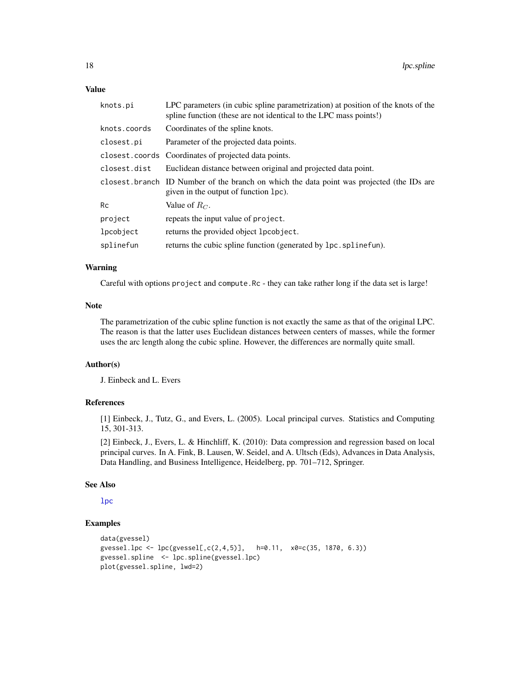#### <span id="page-17-0"></span>Value

| knots.pi     | LPC parameters (in cubic spline parametrization) at position of the knots of the<br>spline function (these are not identical to the LPC mass points!) |
|--------------|-------------------------------------------------------------------------------------------------------------------------------------------------------|
| knots.coords | Coordinates of the spline knots.                                                                                                                      |
| closest.pi   | Parameter of the projected data points.                                                                                                               |
|              | closest.coords Coordinates of projected data points.                                                                                                  |
| closest.dist | Euclidean distance between original and projected data point.                                                                                         |
|              | closest. branch ID Number of the branch on which the data point was projected (the IDs are<br>given in the output of function 1pc).                   |
| <b>Rc</b>    | Value of $R_C$ .                                                                                                                                      |
| project      | repeats the input value of project.                                                                                                                   |
| lpcobject    | returns the provided object lpcobject.                                                                                                                |
| splinefun    | returns the cubic spline function (generated by 1pc. spline fun).                                                                                     |

# Warning

Careful with options project and compute.Rc - they can take rather long if the data set is large!

# Note

The parametrization of the cubic spline function is not exactly the same as that of the original LPC. The reason is that the latter uses Euclidean distances between centers of masses, while the former uses the arc length along the cubic spline. However, the differences are normally quite small.

# Author(s)

J. Einbeck and L. Evers

# References

[1] Einbeck, J., Tutz, G., and Evers, L. (2005). Local principal curves. Statistics and Computing 15, 301-313.

[2] Einbeck, J., Evers, L. & Hinchliff, K. (2010): Data compression and regression based on local principal curves. In A. Fink, B. Lausen, W. Seidel, and A. Ultsch (Eds), Advances in Data Analysis, Data Handling, and Business Intelligence, Heidelberg, pp. 701–712, Springer.

#### See Also

[lpc](#page-11-1)

# Examples

```
data(gvessel)
gvessel.lpc <- lpc(gvessel[,c(2,4,5)], h=0.11, x0=c(35, 1870, 6.3))
gvessel.spline <- lpc.spline(gvessel.lpc)
plot(gvessel.spline, lwd=2)
```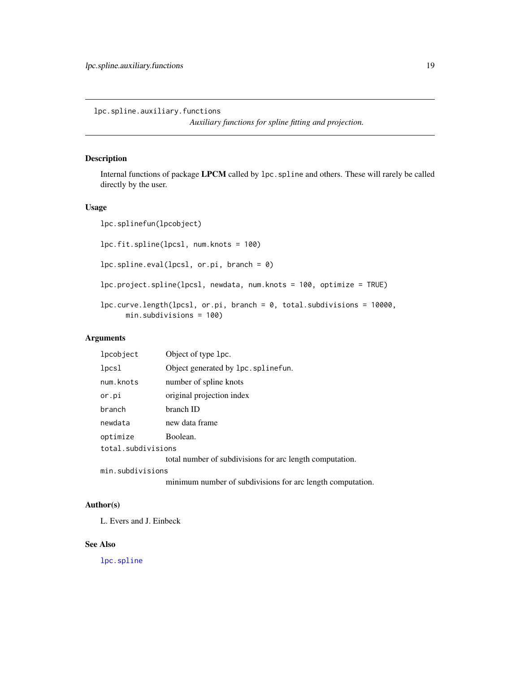<span id="page-18-0"></span>lpc.spline.auxiliary.functions

*Auxiliary functions for spline fitting and projection.*

# Description

Internal functions of package LPCM called by lpc.spline and others. These will rarely be called directly by the user.

# Usage

lpc.splinefun(lpcobject) lpc.fit.spline(lpcsl, num.knots = 100) lpc.spline.eval(lpcsl, or.pi, branch = 0) lpc.project.spline(lpcsl, newdata, num.knots = 100, optimize = TRUE) lpc.curve.length(lpcsl, or.pi, branch = 0, total.subdivisions = 10000, min.subdivisions = 100)

# Arguments

| lpcobject          | Object of type 1pc.                                      |
|--------------------|----------------------------------------------------------|
| lpcsl              | Object generated by lpc. splinefun.                      |
| num.knots          | number of spline knots                                   |
| or.pi              | original projection index                                |
| branch             | branch ID                                                |
| newdata            | new data frame                                           |
| optimize           | Boolean.                                                 |
| total.subdivisions |                                                          |
|                    | total number of subdivisions for arc length computation. |
| min.subdivisions   |                                                          |
|                    |                                                          |

minimum number of subdivisions for arc length computation.

# Author(s)

L. Evers and J. Einbeck

# See Also

[lpc.spline](#page-16-1)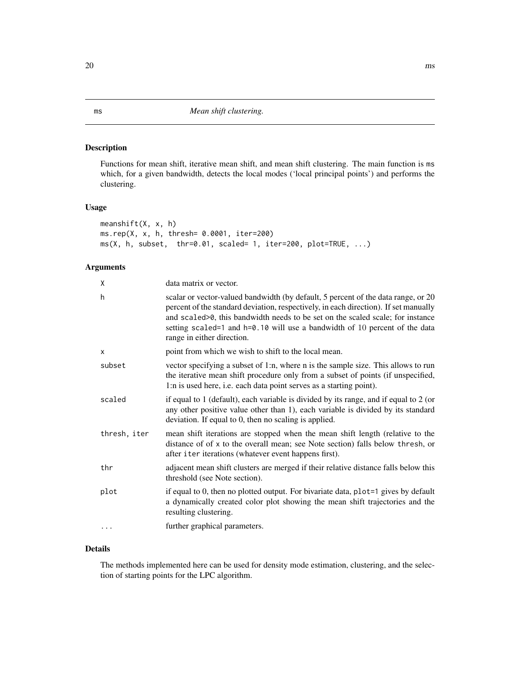# <span id="page-19-1"></span><span id="page-19-0"></span>Description

Functions for mean shift, iterative mean shift, and mean shift clustering. The main function is ms which, for a given bandwidth, detects the local modes ('local principal points') and performs the clustering.

# Usage

```
meanshift(X, x, h)
ms.rep(X, x, h, thresh= 0.0001, iter=200)
ms(X, h, subset, thr=0.01, scaled= 1, iter=200, plot=TRUE, ...)
```
# Arguments

| X            | data matrix or vector.                                                                                                                                                                                                                                                                                                                                                  |
|--------------|-------------------------------------------------------------------------------------------------------------------------------------------------------------------------------------------------------------------------------------------------------------------------------------------------------------------------------------------------------------------------|
| h            | scalar or vector-valued bandwidth (by default, 5 percent of the data range, or 20<br>percent of the standard deviation, respectively, in each direction). If set manually<br>and scaled>0, this bandwidth needs to be set on the scaled scale; for instance<br>setting scaled=1 and h=0.10 will use a bandwidth of 10 percent of the data<br>range in either direction. |
| X            | point from which we wish to shift to the local mean.                                                                                                                                                                                                                                                                                                                    |
| subset       | vector specifying a subset of 1:n, where n is the sample size. This allows to run<br>the iterative mean shift procedure only from a subset of points (if unspecified,<br>1:n is used here, i.e. each data point serves as a starting point).                                                                                                                            |
| scaled       | if equal to 1 (default), each variable is divided by its range, and if equal to 2 (or<br>any other positive value other than 1), each variable is divided by its standard<br>deviation. If equal to 0, then no scaling is applied.                                                                                                                                      |
| thresh, iter | mean shift iterations are stopped when the mean shift length (relative to the<br>distance of of x to the overall mean; see Note section) falls below thresh, or<br>after i ter iterations (whatever event happens first).                                                                                                                                               |
| thr          | adjacent mean shift clusters are merged if their relative distance falls below this<br>threshold (see Note section).                                                                                                                                                                                                                                                    |
| plot         | if equal to 0, then no plotted output. For bivariate data, plot=1 gives by default<br>a dynamically created color plot showing the mean shift trajectories and the<br>resulting clustering.                                                                                                                                                                             |
|              | further graphical parameters.                                                                                                                                                                                                                                                                                                                                           |
|              |                                                                                                                                                                                                                                                                                                                                                                         |

# Details

The methods implemented here can be used for density mode estimation, clustering, and the selection of starting points for the LPC algorithm.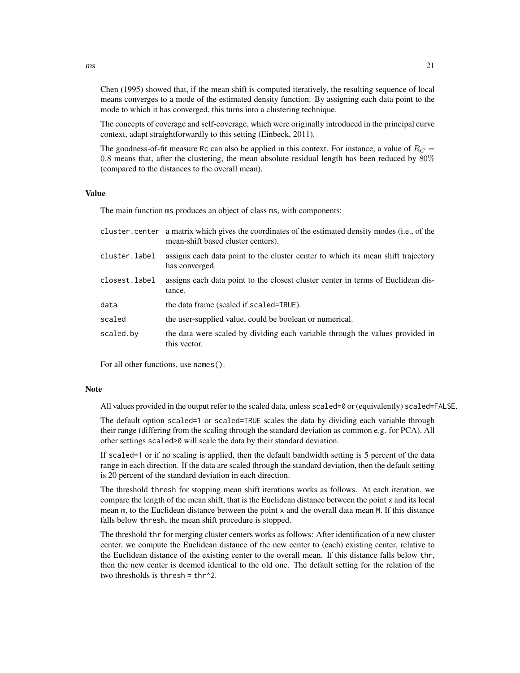Chen (1995) showed that, if the mean shift is computed iteratively, the resulting sequence of local means converges to a mode of the estimated density function. By assigning each data point to the mode to which it has converged, this turns into a clustering technique.

The concepts of coverage and self-coverage, which were originally introduced in the principal curve context, adapt straightforwardly to this setting (Einbeck, 2011).

The goodness-of-fit measure Rc can also be applied in this context. For instance, a value of  $R_C =$ 0.8 means that, after the clustering, the mean absolute residual length has been reduced by  $80\%$ (compared to the distances to the overall mean).

#### Value

The main function ms produces an object of class ms, with components:

| cluster, center a matrix which gives the coordinates of the estimated density modes (i.e., of the<br>mean-shift based cluster centers). |
|-----------------------------------------------------------------------------------------------------------------------------------------|
| assigns each data point to the cluster center to which its mean shift trajectory<br>has converged.                                      |
| assigns each data point to the closest cluster center in terms of Euclidean dis-<br>tance.                                              |
| the data frame (scaled if scaled=TRUE).                                                                                                 |
| the user-supplied value, could be boolean or numerical.                                                                                 |
| the data were scaled by dividing each variable through the values provided in<br>this vector.                                           |
|                                                                                                                                         |

For all other functions, use names().

#### **Note**

All values provided in the output refer to the scaled data, unless scaled=0 or (equivalently) scaled=FALSE.

The default option scaled=1 or scaled=TRUE scales the data by dividing each variable through their range (differing from the scaling through the standard deviation as common e.g. for PCA). All other settings scaled>0 will scale the data by their standard deviation.

If scaled=1 or if no scaling is applied, then the default bandwidth setting is 5 percent of the data range in each direction. If the data are scaled through the standard deviation, then the default setting is 20 percent of the standard deviation in each direction.

The threshold thresh for stopping mean shift iterations works as follows. At each iteration, we compare the length of the mean shift, that is the Euclidean distance between the point x and its local mean m, to the Euclidean distance between the point x and the overall data mean M. If this distance falls below thresh, the mean shift procedure is stopped.

The threshold thr for merging cluster centers works as follows: After identification of a new cluster center, we compute the Euclidean distance of the new center to (each) existing center, relative to the Euclidean distance of the existing center to the overall mean. If this distance falls below thr, then the new center is deemed identical to the old one. The default setting for the relation of the two thresholds is thresh =  $thr^2$ .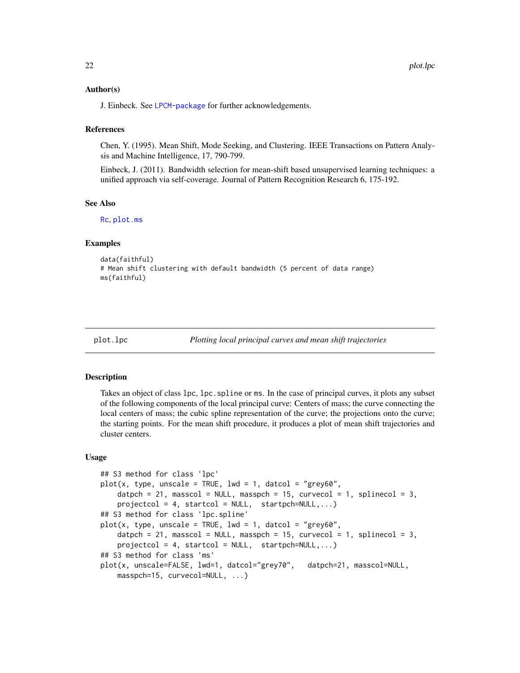# <span id="page-21-0"></span>Author(s)

J. Einbeck. See [LPCM-package](#page-1-1) for further acknowledgements.

#### References

Chen, Y. (1995). Mean Shift, Mode Seeking, and Clustering. IEEE Transactions on Pattern Analysis and Machine Intelligence, 17, 790-799.

Einbeck, J. (2011). Bandwidth selection for mean-shift based unsupervised learning techniques: a unified approach via self-coverage. Journal of Pattern Recognition Research 6, 175-192.

# See Also

[Rc](#page-24-1), [plot.ms](#page-21-1)

# Examples

```
data(faithful)
# Mean shift clustering with default bandwidth (5 percent of data range)
ms(faithful)
```

```
plot.lpc Plotting local principal curves and mean shift trajectories
```
# <span id="page-21-1"></span>Description

Takes an object of class lpc, lpc. spline or ms. In the case of principal curves, it plots any subset of the following components of the local principal curve: Centers of mass; the curve connecting the local centers of mass; the cubic spline representation of the curve; the projections onto the curve; the starting points. For the mean shift procedure, it produces a plot of mean shift trajectories and cluster centers.

#### Usage

```
## S3 method for class 'lpc'
plot(x, type, unscale = TRUE, lwd = 1, datacol = "grey60",datpch = 21, masscol = NULL, masspch = 15, curvecol = 1, splinecol = 3,
    projectcol = 4, startcol = NULL, startpch=NULL,...)
## S3 method for class 'lpc.spline'
plot(x, type, unscale = TRUE, lwd = 1, datacol = "grey60".datpch = 21, masscol = NULL, masspch = 15, curvecol = 1, splinecol = 3,
   projectcol = 4, startcol = NULL, startpch=NULL,...)
## S3 method for class 'ms'
plot(x, unscale=FALSE, lwd=1, datcol="grey70", datpch=21, masscol=NULL,
   masspch=15, curvecol=NULL, ...)
```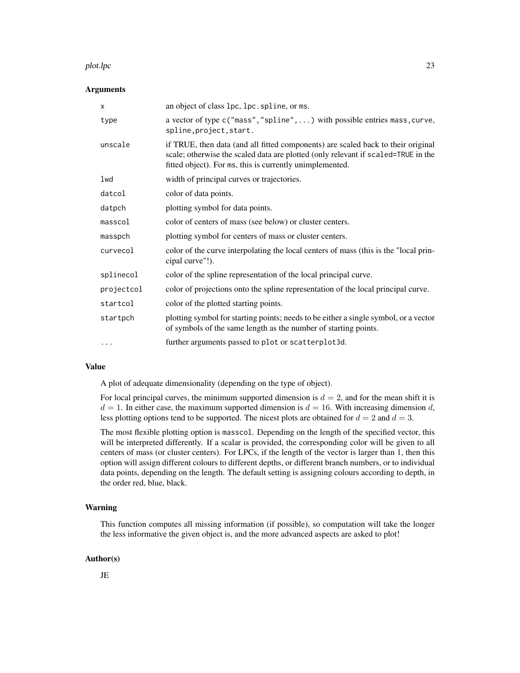#### plot.lpc 23

#### Arguments

| $\times$   | an object of class 1pc, 1pc. spline, or ms.                                                                                                                                                                                       |
|------------|-----------------------------------------------------------------------------------------------------------------------------------------------------------------------------------------------------------------------------------|
| type       | a vector of type c("mass", "spline", ) with possible entries mass, curve,<br>spline, project, start.                                                                                                                              |
| unscale    | if TRUE, then data (and all fitted components) are scaled back to their original<br>scale; otherwise the scaled data are plotted (only relevant if scaled=TRUE in the<br>fitted object). For ms, this is currently unimplemented. |
| lwd        | width of principal curves or trajectories.                                                                                                                                                                                        |
| datcol     | color of data points.                                                                                                                                                                                                             |
| datpch     | plotting symbol for data points.                                                                                                                                                                                                  |
| masscol    | color of centers of mass (see below) or cluster centers.                                                                                                                                                                          |
| masspch    | plotting symbol for centers of mass or cluster centers.                                                                                                                                                                           |
| curvecol   | color of the curve interpolating the local centers of mass (this is the "local prin-<br>cipal curve"!).                                                                                                                           |
| splinecol  | color of the spline representation of the local principal curve.                                                                                                                                                                  |
| projectcol | color of projections onto the spline representation of the local principal curve.                                                                                                                                                 |
| startcol   | color of the plotted starting points.                                                                                                                                                                                             |
| startpch   | plotting symbol for starting points; needs to be either a single symbol, or a vector<br>of symbols of the same length as the number of starting points.                                                                           |
| $\cdots$   | further arguments passed to plot or scatterplot3d.                                                                                                                                                                                |

# Value

A plot of adequate dimensionality (depending on the type of object).

For local principal curves, the minimum supported dimension is  $d = 2$ , and for the mean shift it is  $d = 1$ . In either case, the maximum supported dimension is  $d = 16$ . With increasing dimension d, less plotting options tend to be supported. The nicest plots are obtained for  $d = 2$  and  $d = 3$ .

The most flexible plotting option is masscol. Depending on the length of the specified vector, this will be interpreted differently. If a scalar is provided, the corresponding color will be given to all centers of mass (or cluster centers). For LPCs, if the length of the vector is larger than 1, then this option will assign different colours to different depths, or different branch numbers, or to individual data points, depending on the length. The default setting is assigning colours according to depth, in the order red, blue, black.

# Warning

This function computes all missing information (if possible), so computation will take the longer the less informative the given object is, and the more advanced aspects are asked to plot!

### Author(s)

JE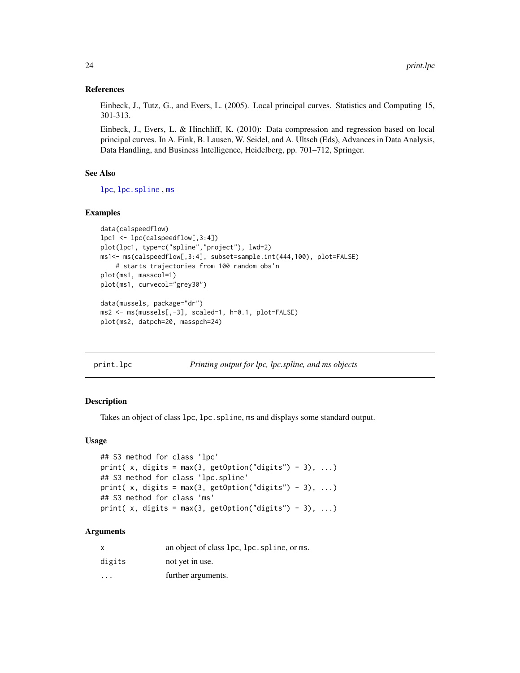# References

Einbeck, J., Tutz, G., and Evers, L. (2005). Local principal curves. Statistics and Computing 15, 301-313.

Einbeck, J., Evers, L. & Hinchliff, K. (2010): Data compression and regression based on local principal curves. In A. Fink, B. Lausen, W. Seidel, and A. Ultsch (Eds), Advances in Data Analysis, Data Handling, and Business Intelligence, Heidelberg, pp. 701–712, Springer.

# See Also

[lpc](#page-11-1), [lpc.spline](#page-16-1) , [ms](#page-19-1)

# Examples

```
data(calspeedflow)
lpc1 <- lpc(calspeedflow[,3:4])
plot(lpc1, type=c("spline","project"), lwd=2)
ms1<- ms(calspeedflow[,3:4], subset=sample.int(444,100), plot=FALSE)
    # starts trajectories from 100 random obs'n
plot(ms1, masscol=1)
plot(ms1, curvecol="grey30")
data(mussels, package="dr")
ms2 <- ms(mussels[,-3], scaled=1, h=0.1, plot=FALSE)
plot(ms2, datpch=20, masspch=24)
```
print.lpc *Printing output for lpc, lpc.spline, and ms objects*

# Description

Takes an object of class 1pc, 1pc, spline, ms and displays some standard output.

#### Usage

```
## S3 method for class 'lpc'
print(x, digits = max(3, getOption("digits") - 3), ...)
## S3 method for class 'lpc.spline'
print( x, digits = max(3, getOption("digits") - 3), ...)
## S3 method for class 'ms'
print( x, digits = max(3, getOption("digits") - 3), ...)
```
# Arguments

| $\times$                | an object of class 1pc, 1pc. spline, or ms. |
|-------------------------|---------------------------------------------|
| digits                  | not yet in use.                             |
| $\cdot$ $\cdot$ $\cdot$ | further arguments.                          |

<span id="page-23-0"></span>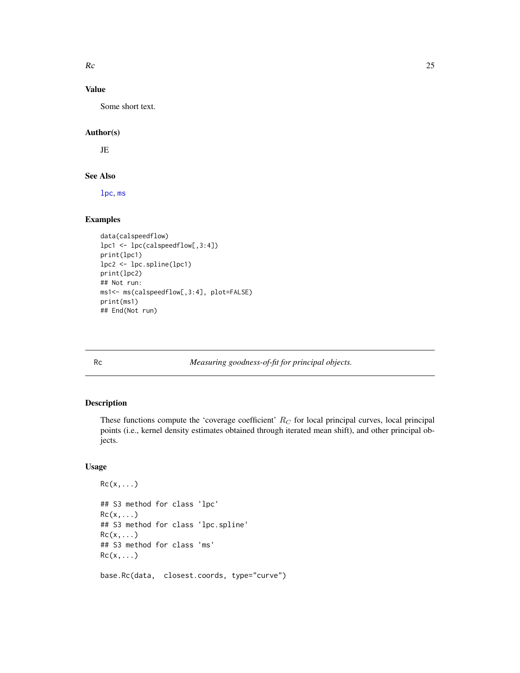<span id="page-24-0"></span> $Rc$  25

# Value

Some short text.

# Author(s)

JE

#### See Also

[lpc](#page-11-1), [ms](#page-19-1)

# Examples

```
data(calspeedflow)
lpc1 <- lpc(calspeedflow[,3:4])
print(lpc1)
lpc2 <- lpc.spline(lpc1)
print(lpc2)
## Not run:
ms1<- ms(calspeedflow[,3:4], plot=FALSE)
print(ms1)
## End(Not run)
```
<span id="page-24-1"></span>Rc *Measuring goodness-of-fit for principal objects.*

# Description

These functions compute the 'coverage coefficient'  $R_C$  for local principal curves, local principal points (i.e., kernel density estimates obtained through iterated mean shift), and other principal objects.

# Usage

```
Rc(x,...)## S3 method for class 'lpc'
Rc(x,...)## S3 method for class 'lpc.spline'
Rc(x,...)## S3 method for class 'ms'
Rc(x,...)base.Rc(data, closest.coords, type="curve")
```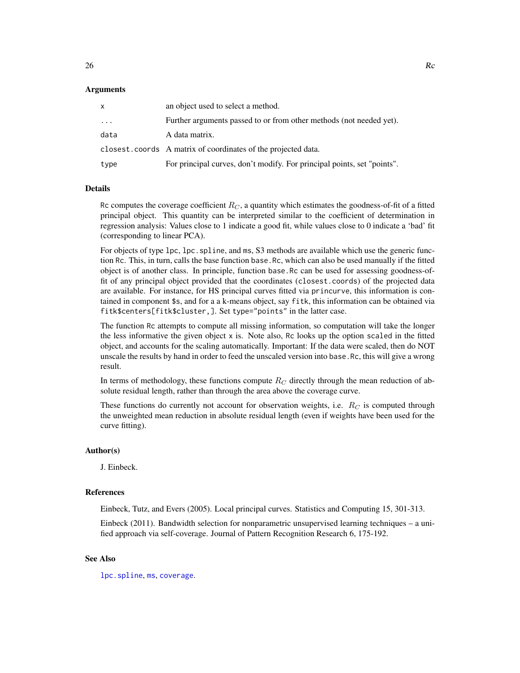#### <span id="page-25-0"></span>Arguments

| x        | an object used to select a method.                                      |
|----------|-------------------------------------------------------------------------|
| $\cdots$ | Further arguments passed to or from other methods (not needed yet).     |
| data     | A data matrix.                                                          |
|          | closest.coords A matrix of coordinates of the projected data.           |
| type     | For principal curves, don't modify. For principal points, set "points". |

#### Details

Rc computes the coverage coefficient  $R_C$ , a quantity which estimates the goodness-of-fit of a fitted principal object. This quantity can be interpreted similar to the coefficient of determination in regression analysis: Values close to 1 indicate a good fit, while values close to 0 indicate a 'bad' fit (corresponding to linear PCA).

For objects of type lpc, lpc. spline, and ms, S3 methods are available which use the generic function Rc. This, in turn, calls the base function base.Rc, which can also be used manually if the fitted object is of another class. In principle, function base.Rc can be used for assessing goodness-offit of any principal object provided that the coordinates (closest.coords) of the projected data are available. For instance, for HS principal curves fitted via princurve, this information is contained in component \$s, and for a a k-means object, say fitk, this information can be obtained via fitk\$centers[fitk\$cluster,]. Set type="points" in the latter case.

The function Rc attempts to compute all missing information, so computation will take the longer the less informative the given object  $x$  is. Note also, Rc looks up the option scaled in the fitted object, and accounts for the scaling automatically. Important: If the data were scaled, then do NOT unscale the results by hand in order to feed the unscaled version into base.Rc, this will give a wrong result.

In terms of methodology, these functions compute  $R_C$  directly through the mean reduction of absolute residual length, rather than through the area above the coverage curve.

These functions do currently not account for observation weights, i.e.  $R_C$  is computed through the unweighted mean reduction in absolute residual length (even if weights have been used for the curve fitting).

#### Author(s)

J. Einbeck.

#### References

Einbeck, Tutz, and Evers (2005). Local principal curves. Statistics and Computing 15, 301-313.

Einbeck (2011). Bandwidth selection for nonparametric unsupervised learning techniques – a unified approach via self-coverage. Journal of Pattern Recognition Research 6, 175-192.

# See Also

[lpc.spline](#page-16-1), [ms](#page-19-1), [coverage](#page-3-2).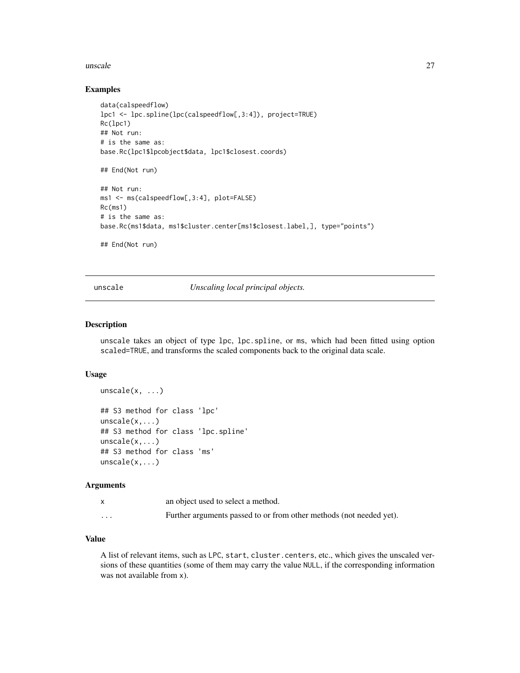#### <span id="page-26-0"></span>unscale 27

# Examples

```
data(calspeedflow)
lpc1 <- lpc.spline(lpc(calspeedflow[,3:4]), project=TRUE)
Rc(lpc1)
## Not run:
# is the same as:
base.Rc(lpc1$lpcobject$data, lpc1$closest.coords)
## End(Not run)
## Not run:
ms1 <- ms(calspeedflow[,3:4], plot=FALSE)
Rc(ms1)
# is the same as:
base.Rc(ms1$data, ms1$cluster.center[ms1$closest.label,], type="points")
## End(Not run)
```
<span id="page-26-1"></span>unscale *Unscaling local principal objects.*

#### Description

unscale takes an object of type lpc, lpc.spline, or ms, which had been fitted using option scaled=TRUE, and transforms the scaled components back to the original data scale.

# Usage

```
unscale(x, \ldots)
```

```
## S3 method for class 'lpc'
unscale(x,...)## S3 method for class 'lpc.spline'
unscale(x,...)
## S3 method for class 'ms'
unscale(x,...)
```
# Arguments

|          | an object used to select a method.                                  |
|----------|---------------------------------------------------------------------|
| $\cdots$ | Further arguments passed to or from other methods (not needed yet). |

# Value

A list of relevant items, such as LPC, start, cluster.centers, etc., which gives the unscaled versions of these quantities (some of them may carry the value NULL, if the corresponding information was not available from x).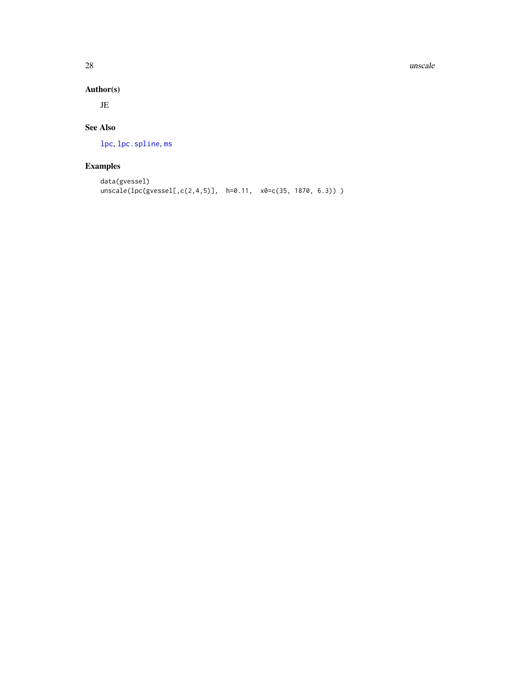28 unscale and the contract of the contract of the contract of the contract of the contract of the contract of the contract of the contract of the contract of the contract of the contract of the contract of the contract of

# Author(s)

JE

# See Also

[lpc](#page-11-1), [lpc.spline](#page-16-1), [ms](#page-19-1)

# Examples

```
data(gvessel)
unscale(1pc(gvesself, c(2, 4, 5)], h=0.11, x0=c(35, 1870, 6.3)))
```
<span id="page-27-0"></span>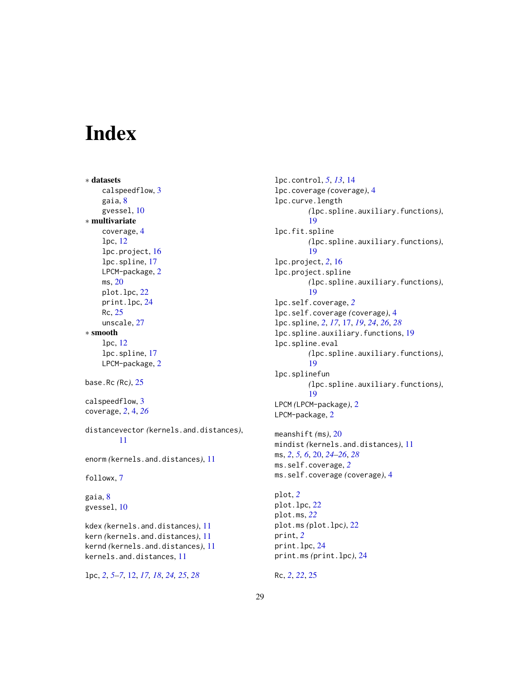# <span id="page-28-0"></span>Index

```
∗ datasets
    calspeedflow, 3
    gaia, 8
    gvessel, 10
∗ multivariate
    coverage, 4
    lpc, 12
    lpc.project, 16
    lpc.spline, 17
    LPCM-package, 2
    ms, 20
    plot.lpc, 22
    print.lpc, 24
    Rc, 25
    unscale, 27
∗ smooth
    lpc, 12
    lpc.spline, 17
    LPCM-package, 2
base.Rc (Rc), 25
calspeedflow, 3
coverage, 2, 4, 26
distancevector (kernels.and.distances),
         11
enorm (kernels.and.distances), 11
followx, 7
gaia, 8
gvessel, 10
kdex (kernels.and.distances), 11
kern (kernels.and.distances), 11
kernd (kernels.and.distances), 11
kernels.and.distances, 11
```

```
lpc, 2, 5–7, 12, 17, 18, 24, 25, 28
```
lpc.control, *[5](#page-4-0)*, *[13](#page-12-0)*, [14](#page-13-0) lpc.coverage *(*coverage*)*, [4](#page-3-0) lpc.curve.length *(*lpc.spline.auxiliary.functions*)*, [19](#page-18-0) lpc.fit.spline *(*lpc.spline.auxiliary.functions*)*, [19](#page-18-0) lpc.project, *[2](#page-1-0)*, [16](#page-15-0) lpc.project.spline *(*lpc.spline.auxiliary.functions*)*, [19](#page-18-0) lpc.self.coverage, *[2](#page-1-0)* lpc.self.coverage *(*coverage*)*, [4](#page-3-0) lpc.spline, *[2](#page-1-0)*, *[17](#page-16-0)*, [17,](#page-16-0) *[19](#page-18-0)*, *[24](#page-23-0)*, *[26](#page-25-0)*, *[28](#page-27-0)* lpc.spline.auxiliary.functions, [19](#page-18-0) lpc.spline.eval *(*lpc.spline.auxiliary.functions*)*, [19](#page-18-0) lpc.splinefun *(*lpc.spline.auxiliary.functions*)*, [19](#page-18-0) LPCM *(*LPCM-package*)*, [2](#page-1-0) LPCM-package, [2](#page-1-0) meanshift *(*ms*)*, [20](#page-19-0) mindist *(*kernels.and.distances*)*, [11](#page-10-0) ms, *[2](#page-1-0)*, *[5,](#page-4-0) [6](#page-5-0)*, [20,](#page-19-0) *[24](#page-23-0)[–26](#page-25-0)*, *[28](#page-27-0)* ms.self.coverage, *[2](#page-1-0)* ms.self.coverage *(*coverage*)*, [4](#page-3-0) plot, *[2](#page-1-0)* plot.lpc, [22](#page-21-0) plot.ms, *[22](#page-21-0)* plot.ms *(*plot.lpc*)*, [22](#page-21-0) print, *[2](#page-1-0)* print.lpc, [24](#page-23-0)

Rc, *[2](#page-1-0)*, *[22](#page-21-0)*, [25](#page-24-0)

print.ms *(*print.lpc*)*, [24](#page-23-0)